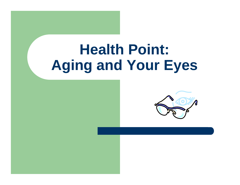# **Health Point: Aging and Your Eyes**

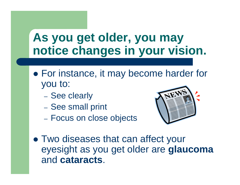#### **As you get older, you may notice changes in your vision.**

- For instance, it may become harder for you to:
	- See clearly
	- See small print
	- Focus on close objects



• Two diseases that can affect your eyesight as you get older are **glaucoma** and **cataracts**.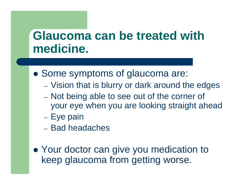#### **Glaucoma can be treated with medicine.**

- Some symptoms of glaucoma are:
	- Vision that is blurry or dark around the edges
	- Not being able to see out of the corner of your eye when you are looking straight ahead
	- Eye pain
	- Bad headaches
- Your doctor can give you medication to keep glaucoma from getting worse.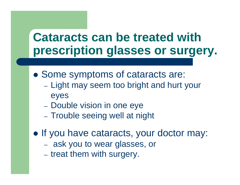#### **Cataracts can be treated with prescription glasses or surgery.**

- Some symptoms of cataracts are:
	- Light may seem too bright and hurt your eyes
	- Double vision in one eye
	- Trouble seeing well at night
- If you have cataracts, your doctor may:
	- ask you to wear glasses, or
	- treat them with surgery.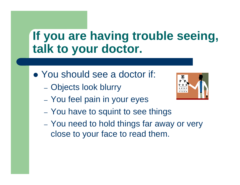### **If you are having trouble seeing, talk to your doctor.**

- You should see a doctor if:
	- Objects look blurry
	- You feel pain in your eyes



- You have to squint to see things
- You need to hold things far away or very close to your face to read them.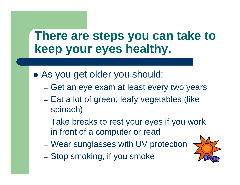#### **There are steps you can take to keep your eyes healthy.**

- As you get older you should:
	- Get an eye exam at least every two years
	- Eat a lot of green, leafy vegetables (like spinach)
	- Take breaks to rest your eyes if you work in front of a computer or read
	- Wear sunglasses with UV protection
	- Stop smoking, if you smoke